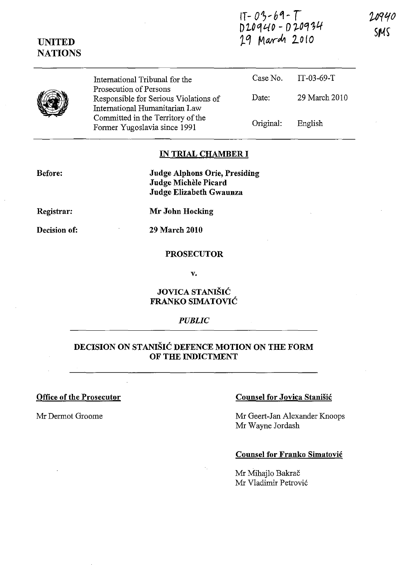| $17 - 03 - 69 - 1$ |                   |
|--------------------|-------------------|
|                    | $D20940 - D20934$ |
| 29 March 2010      |                   |

| International Tribunal for the                                    | Case No.                                                 | IT-03-69-T    |
|-------------------------------------------------------------------|----------------------------------------------------------|---------------|
| Responsible for Serious Violations of                             | Date:                                                    | 29 March 2010 |
| Committed in the Territory of the<br>Former Yugoslavia since 1991 | Original:                                                | English       |
|                                                                   | Prosecution of Persons<br>International Humanitarian Law |               |

#### **IN TRIAL CHAMBER I**

**Before:** 

**UNITED NATIONS** 

> **Judge Alphons Orie, Presiding Judge Michele Picard Judge Elizabeth Gwaunza**

**Registrar:** 

**Mr John Hocking** 

**Decision of:** 

**29 March 2010** 

### **PROSECUTOR**

v.

## **JOVICA STANISIC FRANKO SIMATOVIC**

#### *PUBLIC*

## **DECISION ON STANISIC DEFENCE MOTION ON THE FORM OF THE INDICTMENT**

**Office of the Prosecutor** 

Mr Dermot Groome

### **Counsel for Jovica Stanisic**

Mr Geert-Jan Alexander Knoops Mr Wayne Jordash

### **Counsel for Franko Simatovic**

Mr Mihajlo Bakrač Mr Vladimir Petrovi6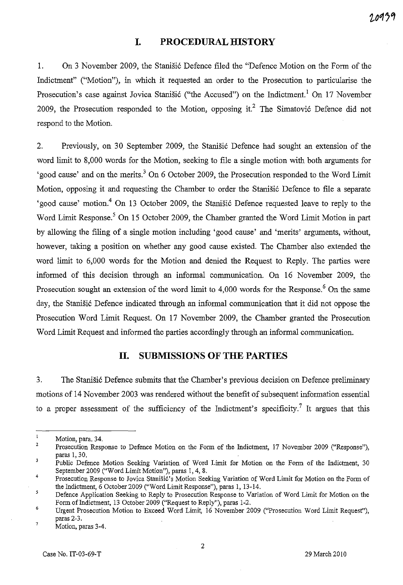## **I. PROCEDURAL HISTORY**

1. On 3 November 2009, the Stanisic Defence filed the "Defence Motion on the Form of the Indictment" ("Motion"), in which it requested an order to the Prosecution to particularise the Prosecution's case against Jovica Stanišić ("the Accused") on the Indictment.<sup>1</sup> On 17 November 2009, the Prosecution responded to the Motion, opposing it.<sup>2</sup> The Simatović Defence did not respond to the Motion.

2. Previously, on 30 September 2009, the Stanisic Defence had sought an extension of the word limit to 8,000 words for the Motion, seeking to file a single motion with both arguments for 'good cause' and on the merits.<sup>3</sup> On 6 October 2009, the Prosecution responded to the Word Limit Motion, opposing it and requesting the Chamber to order the Stanišić Defence to file a separate 'good cause' motion.<sup>4</sup> On 13 October 2009, the Stanišić Defence requested leave to reply to the Word Limit Response.<sup>5</sup> On 15 October 2009, the Chamber granted the Word Limit Motion in part by allowing the filing of a single motion including 'good cause' and 'merits' arguments, without, however, taking a position on whether any good cause existed. The Chamber also extended the word limit to 6,000 words for the Motion and denied the Request to Reply. The parties were informed of this decision through an informal communication. On 16 November 2009, the Prosecution sought an extension of the word limit to  $4,000$  words for the Response.<sup>6</sup> On the same day, the Stanišić Defence indicated through an informal communication that it did not oppose the Prosecution Word Limit Request. On 17 November 2009, the Chamber granted the Prosecution Word Limit Request and informed the parties accordingly through an informal communication.

### **11. SUBMISSIONS OF THE PARTIES**

3. The Stanišić Defence submits that the Chamber's previous decision on Defence preliminary motions of 14 November 2003 was rendered without the benefit of subsequent information essential to a proper assessment of the sufficiency of the Indictment's specificity.<sup>7</sup> It argues that this

Motion, para. 34.

<sup>2</sup>  Prosecution Response to Defence Motion on the Form of the Indictment, 17 November 2009 ("Response"), paras 1, 30.

<sup>3</sup> Public Defence Motion Seeking Variation of Word Limit for Motion on the Form of the Indictment, 30 September 2009 ("Word Limit Motion"), paras 1, 4, 8.

<sup>4</sup>  Prosecution Response to Jovica Stanišić's Motion Seeking Variation of Word Limit for Motion on the Form of the Indictment, 6 October 2009 ("Word Limit Response"), paras 1, 13-14.

 $\overline{\mathbf{5}}$ Defence Application Seeking to Reply to Prosecution Response to Variation of Word Limit for Motion on the Fonn of Indictment, 13 October 2009 ("Request to Reply"), paras 1-2.

<sup>6</sup>  7 Urgent Prosecution Motion to Exceed Word Limit, 16 November 2009 ("Prosecution Word Limit Request"), paras 2-3.

Motion, paras 3-4.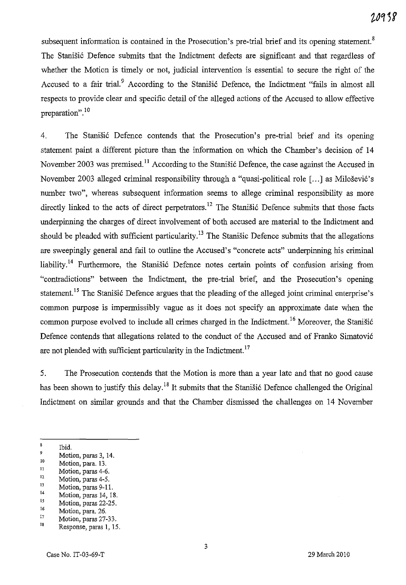subsequent information is contained in the Prosecution's pre-trial brief and its opening statement.<sup>8</sup> The Stanišić Defence submits that the Indictment defects are significant and that regardless of whether the Motion is timely or not, judicial intervention is essential to secure the right of the Accused to a fair trial.<sup>9</sup> According to the Stanistic Defence, the Indictment "fails in almost all respects to provide clear and specific detail of the alleged actions of the Accused to allow effective preparation".<sup>10</sup>

4. The Stanisic Defence contends that the Prosecution's pre-trial brief and its opening statement paint a different picture than the information on which the Chamber's decision of 14 November 2003 was premised.<sup>11</sup> According to the Stanistic Defence, the case against the Accused in November 2003 alleged criminal responsibility through a "quasi-political role [...] as Milošević's number two", whereas subsequent information seems to allege criminal responsibility as more directly linked to the acts of direct perpetrators.<sup>12</sup> The Stanistic Defence submits that those facts underpinning the charges of direct involvement of both accused are material to the Indictment and should be pleaded with sufficient particularity.<sup>13</sup> The Stanisic Defence submits that the allegations are sweepingly general and fail to outline the Accused's "concrete acts" underpinning his criminal liability.<sup>14</sup> Furthermore, the Stanisic Defence notes certain points of confusion arising from "contradictions" between the Indictment, the pre-trial brief, and the Prosecution's opening statement.<sup>15</sup> The Stanisic Defence argues that the pleading of the alleged joint criminal enterprise's common purpose is impermissibly vague as it does not specify an approximate date when the common purpose evolved to include all crimes charged in the Indictment.<sup>16</sup> Moreover, the Stanišić Defence contends that allegations related to the conduct of the Accused and of Franko Simatovi6 are not pleaded with sufficient particularity in the Indictment.<sup>17</sup>

5. The Prosecution contends that the Motion is more than a year late and that no good cause has been shown to justify this delay.<sup>18</sup> It submits that the Stanisic Defence challenged the Original Indictment on similar grounds and that the Chamber dismissed the challenges on 14 November

<sup>8</sup> Ibid.

 $\frac{9}{10}$  Motion, paras 3, 14.

 $10$  Motion, para. 13.

 $\frac{11}{12}$  Motion, paras 4-6.

 $\frac{12}{13}$  Motion, paras 4-5.

 $13$  Motion, paras 9-11.

 $\frac{14}{15}$  Motion, paras 14, 18.

 $^{15}$  Motion, paras 22-25.

 $\frac{16}{17}$  Motion, para. 26.

 $\frac{17}{18}$  Motion, paras 27-33.

I. Response, paras 1, 15.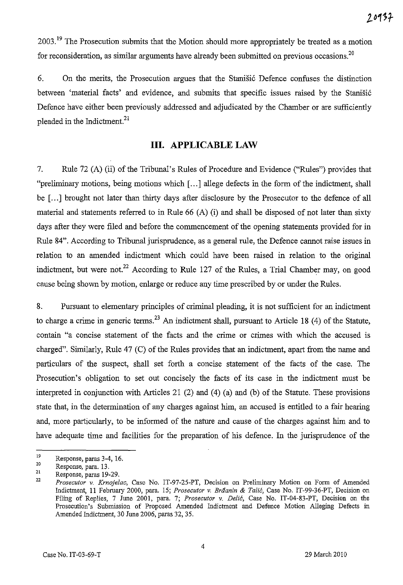2003.<sup>19</sup> The Prosecution submits that the Motion should more appropriately be treated as a motion for reconsideration, as similar arguments have already been submitted on previous occasions.<sup>20</sup>

6. On the merits, the Prosecution argues that the Stanistic Defence confuses the distinction between 'material facts' and evidence, and submits that specific issues raised by the Stanišić Defence have either been previously addressed and adjudicated by the Chamber or are sufficiently pleaded in the Indictment.<sup>21</sup>

# **Ill. APPLICABLE LAW**

7. Rule 72 (A) (ii) of the Tribunal's Rules of Procedure and Evidence ("Rules") provides that "preliminary motions, being motions which [ ... ] allege defects in the form of the indictment, shall be [...] brought not later than thirty days after disclosure by the Prosecutor to the defence of all material and statements referred to in Rule 66 (A) (i) and shall be disposed of not later than sixty days after they were filed and before the commencement of the opening statements provided for in Rule 84". According to Tribunal jurisprudence, as a general rule, the Defence carmot raise issues in relation to an amended indictment which could have been raised in relation to the original indictment, but were not.<sup>22</sup> According to Rule 127 of the Rules, a Trial Chamber may, on good cause being shown by motion, enlarge or reduce any time prescribed by or under the Rules.

8. Pursuant to elementary principles of criminal pleading, it is not sufficient for an indictment to charge a crime in generic terms.<sup>23</sup> An indictment shall, pursuant to Article 18 (4) of the Statute, contain "a concise statement of the facts and the crime or crimes with which the accused is charged". Similarly, Rule 47 (C) of the Rules provides that an indictment, apart from the name and particulars of the suspect, shall set forth a concise statement of the facts of the case. The Prosecution's obligation to set out concisely the facts of its case in the indictment must be interpreted in conjunction with Articles 21 (2) and (4) (a) and (b) of the Statute. These provisions state that, in the determination of any charges against him, an accused is entitled to a fair hearing and, more particularly, to be informed of the nature and cause of the charges against him and to have adequate time and facilities for the preparation of his defence. **In** the jurisprudence of the

<sup>19</sup>  20 Response, paras 3-4, 16.

<sup>21</sup>  Response, para. 13.

Response, paras 19-29.

<sup>22</sup>  *Prosecutor* v. *KrnojeZac,* Case No. IT-97-25-PT, Decision on Preliminary *Motion* on Form of Amended Indictment, 11 February 2000, para. 15; *Prosecutor* v. *Brdanin* & *Talit,* Case No. IT-99-36-PT, Decision on Filing of Replies, 7 June 2001, para. 7; *Prosecutor* v. *Delit,* Case No. IT-04-83-PT, Decision on the Prosecution's Submission of Proposed Amended Indictment and Defence Motion Alleging Defects in Amended Indictment, 30 June 2006, paras 32, 35.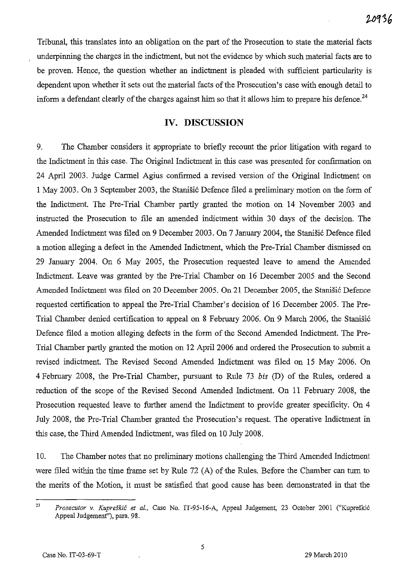Tribunal, this translates into an obligation on the part of the Prosecution to state the material facts underpinning the charges in the indictment, but not the evidence by which such material facts are to be proven. Hence, the question whether an indictment is pleaded with sufficient particularity is dependent upon whether it sets out the material facts of the Prosecution's case with enough detail to inform a defendant clearly of the charges against him so that it allows him to prepare his defence.<sup>24</sup>

### **IV. DISCUSSION**

9. The Chamber considers it appropriate to briefly recount the prior litigation with regard to the Indictment in this case. The Original Indictment in this case was presented for confirmation on 24 April 2003. Judge Carmel Agius confirmed a revised version of the Original Indictment on 1 May 2003. On 3 September 2003, the Stanisi6 Defence filed a preliminary motion on the form of the Indictment. The Pre-Trial Chamber partly granted the motion on 14 November 2003 and instructed the Prosecution to file an amended indictment within 30 days of the decision. The Amended Indictment was filed on 9 December 2003. On 7 January 2004, the Stanišić Defence filed a motion alleging a defect in the Amended Indictment, which the Pre-Trial Chamber dismissed on 29 January 2004. On 6 May 2005, the Prosecution requested leave to amend the Amended Indictment. Leave was granted by the Pre-Trial Chamber on 16 December 2005 and the Second Amended Indictment was filed on 20 December 2005. On 21 December 2005, the Stanišić Defence requested certification to appeal the Pre-Trial Chamber's decision of 16 December 2005. The Pre-Trial Chamber denied certification to appeal on 8 February 2006. On 9 March 2006, the Stanišić Defence filed a motion alleging defects in the form of the Second Amended Indictment. The Pre-Trial Chamber partly granted the motion on 12 April 2006 and ordered the Prosecution to submit a revised indictment. The Revised Second Amended Indictment was filed on 15 May 2006. On 4 February 2008, the Pre-Trial Chamber, pursuant to Rule 73 *bis* CD) of the Rules, ordered a reduction of the scope of the Revised Second Amended Indictment. On 11 February 2008, the Prosecution requested leave to further amend the Indictment to provide greater specificity. On 4 July 2008, the Pre-Trial Chamber granted the Prosecution's request. The operative Indictment in this case, the Third Amended Indictment, was filed on 10 July 2008.

10. The Chamber notes that no preliminary motions challenging the Third Amended Indictment were filed within the time frame set by Rule  $72$  (A) of the Rules. Before the Chamber can turn to the merits of the Motion, it must be satisfied that good cause has been demonstrated in that the

<sup>23</sup>*Prosecutor v. Kupreskic et aI.,* Case No. IT-95-16-A, Appeal Judgement, 23 October 2001 ("Kupreski6 Appeal Judgemenf'), para. 98.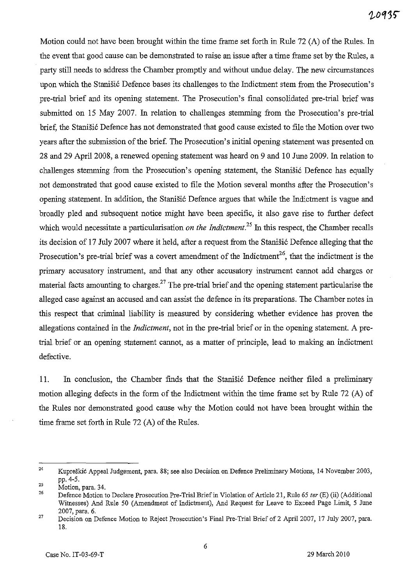Motion could not have been brought within the time frame set forth in Rule  $72(A)$  of the Rules. In the event that good cause can be demonstrated to raise an issue after a time frame set by the Rules, a party still needs to address the Chamber promptly and without undue delay. The new circumstances upon which the Stanišić Defence bases its challenges to the Indictment stem from the Prosecution's pre-trial brief and its opening statement. The Prosecution's final consolidated pre-trial brief was submitted on 15 May 2007. In relation to challenges stemming from the Prosecution's pre-trial brief, the Stanišić Defence has not demonstrated that good cause existed to file the Motion over two years after the submission of the brief. The Prosecution's initial opening statement was presented on 28 and 29 April 2008, a renewed opening statement was heard on 9 and 10 June 2009. In relation to challenges stemming from the Prosecution's opening statement, the Stanistic Defence has equally not demonstrated that good cause existed to file the Motion several months after the Prosecution's opening statement. In addition, the Stanišić Defence argues that while the Indictment is vague and broadly pled and subsequent notice might have been specific, it also gave rise to further defect which would necessitate a particularisation *on the Indictment*.<sup>25</sup> In this respect, the Chamber recalls its decision of 17 July 2007 where it held, after a request from the Stanisic Defence alleging that the Prosecution's pre-trial brief was a covert amendment of the Indictment<sup>26</sup>, that the indictment is the primary accusatory instrument, and that any other accusatory instrument cannot add charges or material facts amounting to charges.<sup>27</sup> The pre-trial brief and the opening statement particularise the alleged case against an accused and can assist the defence in its preparations. The Chamber notes in this respect that criminal liability is measured by considering whether evidence has proven the allegations contained in the *Indictment,* not in the pre-trial brief or in the opening statement. A pretrial. brief or an opening statement cannot, as a matter of principle, lead to making an indictment defective.

11. In conclusion, the Chamber finds that the Stanisi6 Defence neither filed a preliminary motion alleging defects in the form of the Indictment within the time frame set by Rule 72 (A) of the Rules nor demonstrated good cause why the Motion could not have been brought within the time frame set forth in Rule  $72$  (A) of the Rules.

<sup>24</sup>  Kupreskic Appeal Judgement, para. 88; see also Decision on Defence Preliminary Motions, 14 November 2003, pp. 4-5.

<sup>25</sup>  Motion, para. 34.

<sup>26</sup>  Defence Motion to Declare Prosecution Pre-Trial Brief in Violation of Article 21, Rule 65 *ter* (E) (ii) (Additional Witnesses) And Rule 50 (Amendment of Indictment), And Request for Leave to Exceed Page Limit, 5 June 2007, para. 6.

<sup>27</sup>  Decision on Defence Motion to Reject Prosecution'S Final Pre-Trial Brief of 2 April 2007, 17 July 2007, para. 18.